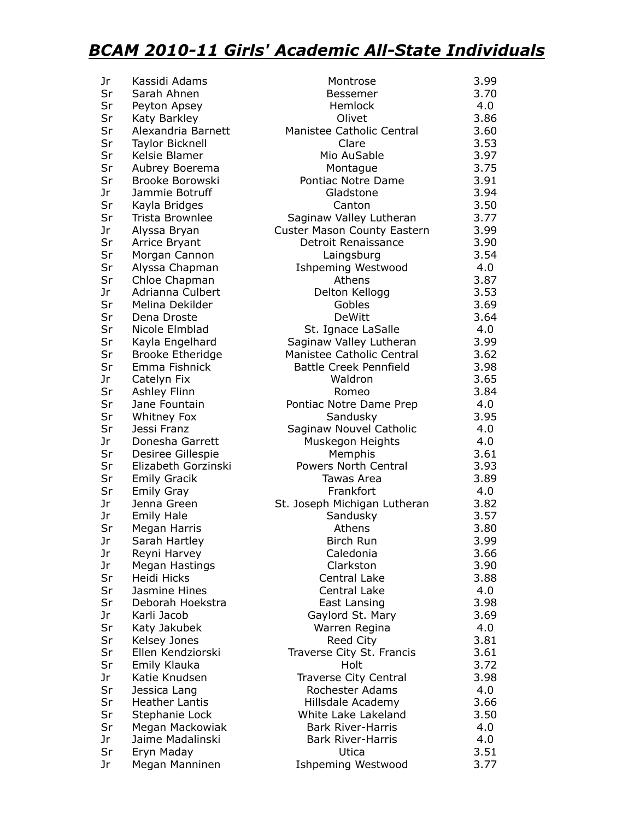## *BCAM 2010-11 Girls' Academic All-State Individuals*

| Jr | Kassidi Adams           | Montrose                           | 3.99 |
|----|-------------------------|------------------------------------|------|
| Sr | Sarah Ahnen             | Bessemer                           | 3.70 |
| Sr | Peyton Apsey            | Hemlock                            | 4.0  |
| Sr | Katy Barkley            | Olivet                             | 3.86 |
| Sr | Alexandria Barnett      | Manistee Catholic Central          | 3.60 |
| Sr | <b>Taylor Bicknell</b>  | Clare                              | 3.53 |
| Sr | Kelsie Blamer           | Mio AuSable                        | 3.97 |
| Sr | Aubrey Boerema          | Montague                           | 3.75 |
| Sr | Brooke Borowski         | Pontiac Notre Dame                 | 3.91 |
| Jr | Jammie Botruff          | Gladstone                          | 3.94 |
| Sr | Kayla Bridges           | Canton                             | 3.50 |
| Sr | Trista Brownlee         | Saginaw Valley Lutheran            | 3.77 |
| Jr | Alyssa Bryan            | <b>Custer Mason County Eastern</b> | 3.99 |
| Sr | Arrice Bryant           | Detroit Renaissance                | 3.90 |
| Sr | Morgan Cannon           | Laingsburg                         | 3.54 |
| Sr | Alyssa Chapman          | <b>Ishpeming Westwood</b>          | 4.0  |
| Sr | Chloe Chapman           | Athens                             | 3.87 |
| Jr | Adrianna Culbert        | Delton Kellogg                     | 3.53 |
| Sr | Melina Dekilder         | Gobles                             | 3.69 |
| Sr | Dena Droste             | <b>DeWitt</b>                      | 3.64 |
| Sr | Nicole Elmblad          | St. Ignace LaSalle                 | 4.0  |
| Sr | Kayla Engelhard         | Saginaw Valley Lutheran            | 3.99 |
| Sr | <b>Brooke Etheridge</b> | Manistee Catholic Central          | 3.62 |
| Sr | Emma Fishnick           | <b>Battle Creek Pennfield</b>      | 3.98 |
| Jr | Catelyn Fix             | Waldron                            | 3.65 |
| Sr | Ashley Flinn            | Romeo                              | 3.84 |
| Sr | Jane Fountain           | Pontiac Notre Dame Prep            | 4.0  |
| Sr | Whitney Fox             | Sandusky                           | 3.95 |
| Sr | Jessi Franz             | Saginaw Nouvel Catholic            | 4.0  |
| Jr | Donesha Garrett         | Muskegon Heights                   | 4.0  |
| Sr | Desiree Gillespie       | Memphis                            | 3.61 |
| Sr | Elizabeth Gorzinski     | Powers North Central               | 3.93 |
| Sr | <b>Emily Gracik</b>     | Tawas Area                         | 3.89 |
| Sr | <b>Emily Gray</b>       | Frankfort                          | 4.0  |
| Jr | Jenna Green             | St. Joseph Michigan Lutheran       | 3.82 |
| Jr | <b>Emily Hale</b>       | Sandusky                           | 3.57 |
| Sr | Megan Harris            | Athens                             | 3.80 |
| Jr | Sarah Hartley           | <b>Birch Run</b>                   | 3.99 |
| Jr | Reyni Harvey            | Caledonia                          | 3.66 |
| Jr | Megan Hastings          | Clarkston                          | 3.90 |
| Sr | Heidi Hicks             | Central Lake                       | 3.88 |
| Sr | Jasmine Hines           | Central Lake                       | 4.0  |
| Sr | Deborah Hoekstra        | East Lansing                       | 3.98 |
| Jr | Karli Jacob             | Gaylord St. Mary                   | 3.69 |
| Sr | Katy Jakubek            | Warren Regina                      | 4.0  |
| Sr | Kelsey Jones            | Reed City                          | 3.81 |
| Sr | Ellen Kendziorski       | Traverse City St. Francis          | 3.61 |
| Sr | Emily Klauka            | Holt                               | 3.72 |
| Jr | Katie Knudsen           | <b>Traverse City Central</b>       | 3.98 |
| Sr | Jessica Lang            | Rochester Adams                    | 4.0  |
| Sr | <b>Heather Lantis</b>   | Hillsdale Academy                  | 3.66 |
| Sr | Stephanie Lock          | White Lake Lakeland                | 3.50 |
| Sr | Megan Mackowiak         | <b>Bark River-Harris</b>           | 4.0  |
| Jr | Jaime Madalinski        | <b>Bark River-Harris</b>           | 4.0  |
| Sr | Eryn Maday              | Utica                              | 3.51 |
| Jr | Megan Manninen          | <b>Ishpeming Westwood</b>          | 3.77 |
|    |                         |                                    |      |